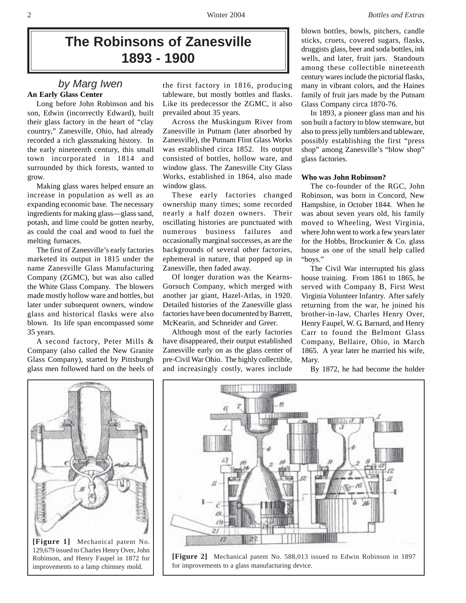# **The Robinsons of Zanesville 1893 - 1900**

# **An Early Glass Center** *by Marg Iwen*

Long before John Robinson and his son, Edwin (incorrectly Edward), built their glass factory in the heart of "clay country," Zanesville, Ohio, had already recorded a rich glassmaking history. In the early nineteenth century, this small town incorporated in 1814 and surrounded by thick forests, wanted to grow.

Making glass wares helped ensure an increase in population as well as an expanding economic base. The necessary ingredients for making glass—glass sand, potash, and lime could be gotten nearby, as could the coal and wood to fuel the melting furnaces.

The first of Zanesville's early factories marketed its output in 1815 under the name Zanesville Glass Manufacturing Company (ZGMC), but was also called the White Glass Company. The blowers made mostly hollow ware and bottles, but later under subsequent owners, window glass and historical flasks were also blown. Its life span encompassed some 35 years.

A second factory, Peter Mills & Company (also called the New Granite Glass Company), started by Pittsburgh glass men followed hard on the heels of

the first factory in 1816, producing tableware, but mostly bottles and flasks. Like its predecessor the ZGMC, it also prevailed about 35 years.

Across the Muskingum River from Zanesville in Putnam (later absorbed by Zanesville), the Putnam Flint Glass Works was established circa 1852. Its output consisted of bottles, hollow ware, and window glass. The Zanesville City Glass Works, established in 1864, also made window glass.

These early factories changed ownership many times; some recorded nearly a half dozen owners. Their oscillating histories are punctuated with numerous business failures and occasionally marginal successes, as are the backgrounds of several other factories, ephemeral in nature, that popped up in Zanesville, then faded away.

Of longer duration was the Kearns-Gorsuch Company, which merged with another jar giant, Hazel-Atlas, in 1920. Detailed histories of the Zanesville glass factories have been documented by Barrett, McKearin, and Schneider and Greer.

Although most of the early factories have disappeared, their output established Zanesville early on as the glass center of pre-Civil War Ohio. The highly collectible, and increasingly costly, wares include

blown bottles, bowls, pitchers, candle sticks, cruets, covered sugars, flasks, druggists glass, beer and soda bottles, ink wells, and later, fruit jars. Standouts among these collectible nineteenth century wares include the pictorial flasks, many in vibrant colors, and the Haines family of fruit jars made by the Putnam Glass Company circa 1870-76.

In 1893, a pioneer glass man and his son built a factory to blow stemware, but also to press jelly tumblers and tableware, possibly establishing the first "press shop" among Zanesville's "blow shop" glass factories.

### **Who was John Robinson?**

The co-founder of the RGC, John Robinson, was born in Concord, New Hampshire, in October 1844. When he was about seven years old, his family moved to Wheeling, West Virginia, where John went to work a few years later for the Hobbs, Brockunier & Co. glass house as one of the small help called "boys."

The Civil War interrupted his glass house training. From 1861 to 1865, he served with Company B, First West Virginia Volunteer Infantry. After safely returning from the war, he joined his brother-in-law, Charles Henry Over, Henry Faupel, W. G. Barnard, and Henry Carr to found the Belmont Glass Company, Bellaire, Ohio, in March 1865. A year later he married his wife, Mary.

By 1872, he had become the holder



**[Figure 1]** Mechanical patent No. 129,679 issued to Charles Henry Over, John Robinson, and Henry Faupel in 1872 for improvements to a lamp chimney mold.



**[Figure 2]** Mechanical patent No. 588,013 issued to Edwin Robinson in 1897 for improvements to a glass manufacturing device.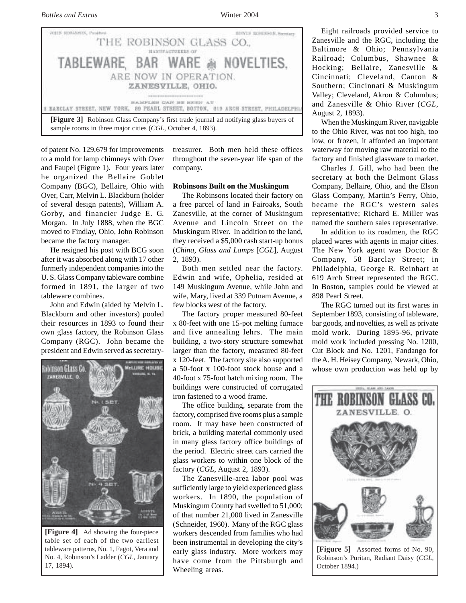

of patent No. 129,679 for improvements to a mold for lamp chimneys with Over and Faupel (Figure 1). Four years later he organized the Bellaire Goblet Company (BGC), Bellaire, Ohio with Over, Carr, Melvin L. Blackburn (holder of several design patents), William A. Gorby, and financier Judge E. G. Morgan. In July 1888, when the BGC moved to Findlay, Ohio, John Robinson became the factory manager.

He resigned his post with BCG soon after it was absorbed along with 17 other formerly independent companies into the U. S. Glass Company tableware combine formed in 1891, the larger of two tableware combines.

John and Edwin (aided by Melvin L. Blackburn and other investors) pooled their resources in 1893 to found their own glass factory, the Robinson Glass Company (RGC). John became the president and Edwin served as secretary-



**[Figure 4]** Ad showing the four-piece table set of each of the two earliest tableware patterns, No. 1, Fagot, Vera and No. 4, Robinson's Ladder (*CGL*, January 17, 1894).

treasurer. Both men held these offices throughout the seven-year life span of the company.

#### **Robinsons Built on the Muskingum**

The Robinsons located their factory on a free parcel of land in Fairoaks, South Zanesville, at the corner of Muskingum Avenue and Lincoln Street on the Muskingum River. In addition to the land, they received a \$5,000 cash start-up bonus (*China, Glass and Lamps* [*CGL*], August 2, 1893).

Both men settled near the factory. Edwin and wife, Ophelia, resided at 149 Muskingum Avenue, while John and wife, Mary, lived at 339 Putnam Avenue, a few blocks west of the factory.

The factory proper measured 80-feet x 80-feet with one 15-pot melting furnace and five annealing lehrs. The main building, a two-story structure somewhat larger than the factory, measured 80-feet x 120-feet. The factory site also supported a 50-foot x 100-foot stock house and a 40-foot x 75-foot batch mixing room. The buildings were constructed of corrugated iron fastened to a wood frame.

The office building, separate from the factory, comprised five rooms plus a sample room. It may have been constructed of brick, a building material commonly used in many glass factory office buildings of the period. Electric street cars carried the glass workers to within one block of the factory (*CGL*, August 2, 1893).

The Zanesville-area labor pool was sufficiently large to yield experienced glass workers. In 1890, the population of Muskingum County had swelled to 51,000; of that number 21,000 lived in Zanesville (Schneider, 1960). Many of the RGC glass workers descended from families who had been instrumental in developing the city's early glass industry. More workers may have come from the Pittsburgh and Wheeling areas.

Eight railroads provided service to Zanesville and the RGC, including the Baltimore & Ohio; Pennsylvania Railroad; Columbus, Shawnee & Hocking; Bellaire, Zanesville & Cincinnati; Cleveland, Canton & Southern; Cincinnati & Muskingum Valley; Cleveland, Akron & Columbus; and Zanesville & Ohio River (*CGL,* August 2, 1893).

When the Muskingum River, navigable to the Ohio River, was not too high, too low, or frozen, it afforded an important waterway for moving raw material to the factory and finished glassware to market.

Charles J. Gill, who had been the secretary at both the Belmont Glass Company, Bellaire, Ohio, and the Elson Glass Company, Martin's Ferry, Ohio, became the RGC's western sales representative; Richard E. Miller was named the southern sales representative.

In addition to its roadmen, the RGC placed wares with agents in major cities. The New York agent was Doctor & Company, 58 Barclay Street; in Philadelphia, George R. Reinhart at 619 Arch Street represented the RGC. In Boston, samples could be viewed at 898 Pearl Street.

The RGC turned out its first wares in September 1893, consisting of tableware, bar goods, and novelties, as well as private mold work. During 1895-96, private mold work included pressing No. 1200, Cut Block and No. 1201, Fandango for the A. H. Heisey Company, Newark, Ohio, whose own production was held up by



**[Figure 5]** Assorted forms of No. 90, Robinson's Puritan, Radiant Daisy (*CGL*, October 1894.)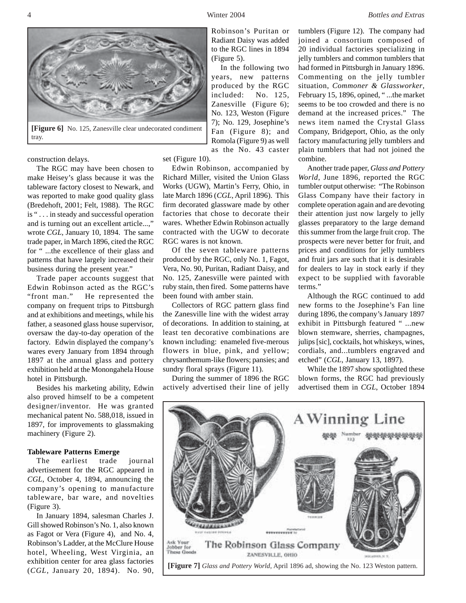



construction delays.

The RGC may have been chosen to make Heisey's glass because it was the tableware factory closest to Newark, and was reported to make good quality glass (Bredehoft, 2001; Felt, 1988). The RGC is " . . . in steady and successful operation and is turning out an excellent article...," wrote *CGL,* January 10, 1894. The same trade paper, in March 1896, cited the RGC for " ...the excellence of their glass and patterns that have largely increased their business during the present year."

Trade paper accounts suggest that Edwin Robinson acted as the RGC's "front man." He represented the company on frequent trips to Pittsburgh and at exhibitions and meetings, while his father, a seasoned glass house supervisor, oversaw the day-to-day operation of the factory. Edwin displayed the company's wares every January from 1894 through 1897 at the annual glass and pottery exhibition held at the Monongahela House hotel in Pittsburgh.

Besides his marketing ability, Edwin also proved himself to be a competent designer/inventor. He was granted mechanical patent No. 588,018, issued in 1897, for improvements to glassmaking machinery (Figure 2).

#### **Tableware Patterns Emerge**

The earliest trade journal advertisement for the RGC appeared in *CGL*, October 4, 1894, announcing the company's opening to manufacture tableware, bar ware, and novelties (Figure 3).

In January 1894, salesman Charles J. Gill showed Robinson's No. 1, also known as Fagot or Vera (Figure 4), and No. 4, Robinson's Ladder, at the McClure House hotel, Wheeling, West Virginia, an exhibition center for area glass factories (*CGL*, January 20, 1894). No. 90,

Robinson's Puritan or Radiant Daisy was added to the RGC lines in 1894 (Figure 5).

 In the following two years, new patterns produced by the RGC included: No. 125, Zanesville (Figure 6); No. 123, Weston (Figure 7); No. 129, Josephine's Fan (Figure 8); and Romola (Figure 9) as well as the No. 43 caster

set (Figure 10).

Edwin Robinson, accompanied by Richard Miller, visited the Union Glass Works (UGW), Martin's Ferry, Ohio, in late March 1896 (*CGL*, April 1896). This firm decorated glassware made by other factories that chose to decorate their wares. Whether Edwin Robinson actually contracted with the UGW to decorate RGC wares is not known.

Of the seven tableware patterns produced by the RGC, only No. 1, Fagot, Vera, No. 90, Puritan, Radiant Daisy, and No. 125, Zanesville were painted with ruby stain, then fired. Some patterns have been found with amber stain.

Collectors of RGC pattern glass find the Zanesville line with the widest array of decorations. In addition to staining, at least ten decorative combinations are known including: enameled five-merous flowers in blue, pink, and yellow; chrysanthemum-like flowers; pansies; and sundry floral sprays (Figure 11).

During the summer of 1896 the RGC actively advertised their line of jelly

tumblers (Figure 12). The company had joined a consortium composed of 20 individual factories specializing in jelly tumblers and common tumblers that had formed in Pittsburgh in January 1896. Commenting on the jelly tumbler situation, *Commoner & Glassworker*, February 15, 1896, opined, " ...the market seems to be too crowded and there is no demand at the increased prices." The news item named the Crystal Glass Company, Bridgeport, Ohio, as the only factory manufacturing jelly tumblers and plain tumblers that had not joined the combine.

Another trade paper, *Glass and Pottery World*, June 1896, reported the RGC tumbler output otherwise: "The Robinson Glass Company have their factory in complete operation again and are devoting their attention just now largely to jelly glasses preparatory to the large demand this summer from the large fruit crop. The prospects were never better for fruit, and prices and conditions for jelly tumblers and fruit jars are such that it is desirable for dealers to lay in stock early if they expect to be supplied with favorable terms."

Although the RGC continued to add new forms to the Josephine's Fan line during 1896, the company's January 1897 exhibit in Pittsburgh featured " ...new blown stemware, sherries, champagnes, julips [sic], cocktails, hot whiskeys, wines, cordials, and...tumblers engraved and etched" (*CGL*, January 13, 1897).

While the 1897 show spotlighted these blown forms, the RGC had previously advertised them in *CGL*, October 1894

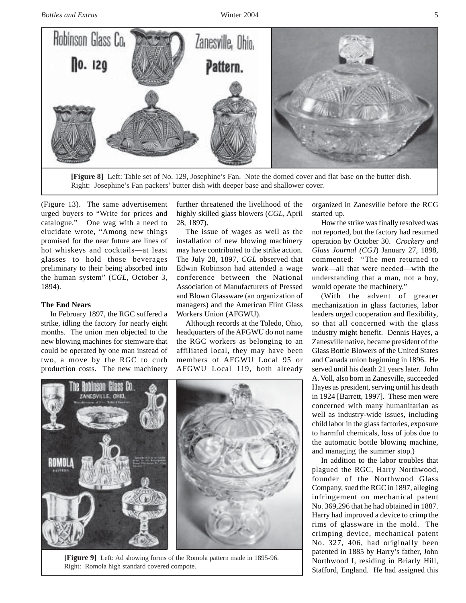

(Figure 13). The same advertisement urged buyers to "Write for prices and catalogue." One wag with a need to elucidate wrote, "Among new things promised for the near future are lines of hot whiskeys and cocktails—at least glasses to hold those beverages preliminary to their being absorbed into the human system" (*CGL*, October 3, 1894).

#### **The End Nears**

In February 1897, the RGC suffered a strike, idling the factory for nearly eight months. The union men objected to the new blowing machines for stemware that could be operated by one man instead of two, a move by the RGC to curb production costs. The new machinery

further threatened the livelihood of the highly skilled glass blowers (*CGL,* April 28, 1897).

The issue of wages as well as the installation of new blowing machinery may have contributed to the strike action. The July 28, 1897, *CGL* observed that Edwin Robinson had attended a wage conference between the National Association of Manufacturers of Pressed and Blown Glassware (an organization of managers) and the American Flint Glass Workers Union (AFGWU).

Although records at the Toledo, Ohio, headquarters of the AFGWU do not name the RGC workers as belonging to an affiliated local, they may have been members of AFGWU Local 95 or AFGWU Local 119, both already



**[Figure 9]** Left: Ad showing forms of the Romola pattern made in 1895-96. Right: Romola high standard covered compote.

organized in Zanesville before the RCG started up.

How the strike was finally resolved was not reported, but the factory had resumed operation by October 30. *Crockery and Glass Journal (CGJ*) January 27, 1898, commented: "The men returned to work—all that were needed—with the understanding that a man, not a boy, would operate the machinery."

(With the advent of greater mechanization in glass factories, labor leaders urged cooperation and flexibility, so that all concerned with the glass industry might benefit. Dennis Hayes, a Zanesville native, became president of the Glass Bottle Blowers of the United States and Canada union beginning in 1896. He served until his death 21 years later. John A. Voll, also born in Zanesville, succeeded Hayes as president, serving until his death in 1924 [Barrett, 1997]. These men were concerned with many humanitarian as well as industry-wide issues, including child labor in the glass factories, exposure to harmful chemicals, loss of jobs due to the automatic bottle blowing machine, and managing the summer stop.)

In addition to the labor troubles that plagued the RGC, Harry Northwood, founder of the Northwood Glass Company, sued the RGC in 1897, alleging infringement on mechanical patent No. 369,296 that he had obtained in 1887. Harry had improved a device to crimp the rims of glassware in the mold. The crimping device, mechanical patent No. 327, 406, had originally been patented in 1885 by Harry's father, John Northwood I, residing in Briarly Hill, Stafford, England. He had assigned this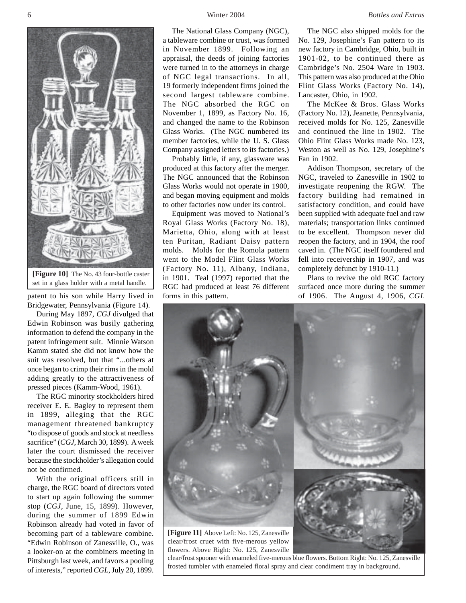

set in a glass holder with a metal handle.

patent to his son while Harry lived in Bridgewater, Pennsylvania (Figure 14).

During May 1897, *CGJ* divulged that Edwin Robinson was busily gathering information to defend the company in the patent infringement suit. Minnie Watson Kamm stated she did not know how the suit was resolved, but that "...others at once began to crimp their rims in the mold adding greatly to the attractiveness of pressed pieces (Kamm-Wood, 1961).

The RGC minority stockholders hired receiver E. E. Bagley to represent them in 1899, alleging that the RGC management threatened bankruptcy "to dispose of goods and stock at needless sacrifice" (*CGJ*, March 30, 1899). A week later the court dismissed the receiver because the stockholder's allegation could not be confirmed.

With the original officers still in charge, the RGC board of directors voted to start up again following the summer stop (*CGJ*, June, 15, 1899). However, during the summer of 1899 Edwin Robinson already had voted in favor of becoming part of a tableware combine. "Edwin Robinson of Zanesville, O., was a looker-on at the combiners meeting in Pittsburgh last week, and favors a pooling of interests," reported *CGL*, July 20, 1899.

The National Glass Company (NGC), a tableware combine or trust, was formed in November 1899. Following an appraisal, the deeds of joining factories were turned in to the attorneys in charge of NGC legal transactions. In all, 19 formerly independent firms joined the second largest tableware combine. The NGC absorbed the RGC on November 1, 1899, as Factory No. 16, and changed the name to the Robinson Glass Works. (The NGC numbered its member factories, while the U. S. Glass Company assigned letters to its factories.)

Probably little, if any, glassware was produced at this factory after the merger. The NGC announced that the Robinson Glass Works would not operate in 1900, and began moving equipment and molds to other factories now under its control.

Equipment was moved to National's Royal Glass Works (Factory No. 18), Marietta, Ohio, along with at least ten Puritan, Radiant Daisy pattern molds. Molds for the Romola pattern went to the Model Flint Glass Works (Factory No. 11), Albany, Indiana, in 1901. Teal (1997) reported that the RGC had produced at least 76 different forms in this pattern.

The NGC also shipped molds for the No. 129, Josephine's Fan pattern to its new factory in Cambridge, Ohio, built in 1901-02, to be continued there as Cambridge's No. 2504 Ware in 1903. This pattern was also produced at the Ohio Flint Glass Works (Factory No. 14), Lancaster, Ohio, in 1902.

The McKee & Bros. Glass Works (Factory No. 12), Jeanette, Pennsylvania, received molds for No. 125, Zanesville and continued the line in 1902. The Ohio Flint Glass Works made No. 123, Weston as well as No. 129, Josephine's Fan in 1902.

Addison Thompson, secretary of the NGC, traveled to Zanesville in 1902 to investigate reopening the RGW. The factory building had remained in satisfactory condition, and could have been supplied with adequate fuel and raw materials; transportation links continued to be excellent. Thompson never did reopen the factory, and in 1904, the roof caved in. (The NGC itself foundered and fell into receivership in 1907, and was completely defunct by 1910-11.)

Plans to revive the old RGC factory surfaced once more during the summer of 1906. The August 4, 1906, *CGL*



clear/frost spooner with enameled five-merous blue flowers. Bottom Right: No. 125, Zanesville frosted tumbler with enameled floral spray and clear condiment tray in background.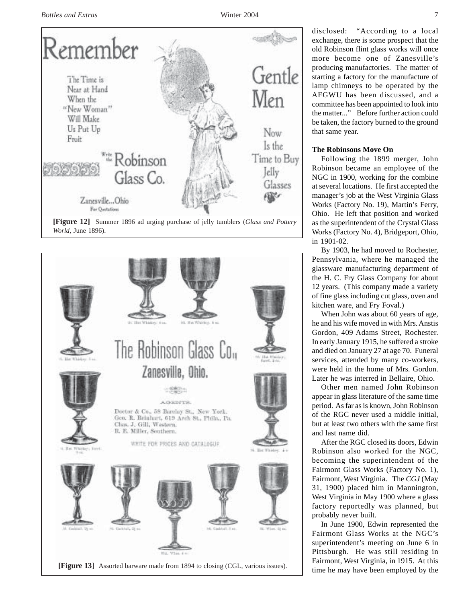

**[Figure 12]** Summer 1896 ad urging purchase of jelly tumblers (*Glass and Pottery World*, June 1896).



disclosed: "According to a local exchange, there is some prospect that the old Robinson flint glass works will once more become one of Zanesville's producing manufactories. The matter of starting a factory for the manufacture of lamp chimneys to be operated by the AFGWU has been discussed, and a committee has been appointed to look into the matter..." Before further action could be taken, the factory burned to the ground that same year.

## **The Robinsons Move On**

Following the 1899 merger, John Robinson became an employee of the NGC in 1900, working for the combine at several locations. He first accepted the manager's job at the West Virginia Glass Works (Factory No. 19), Martin's Ferry, Ohio. He left that position and worked as the superintendent of the Crystal Glass Works (Factory No. 4), Bridgeport, Ohio, in 1901-02.

By 1903, he had moved to Rochester, Pennsylvania, where he managed the glassware manufacturing department of the H. C. Fry Glass Company for about 12 years. (This company made a variety of fine glass including cut glass, oven and kitchen ware, and Fry Foval.)

When John was about 60 years of age, he and his wife moved in with Mrs. Anstis Gordon, 409 Adams Street, Rochester. In early January 1915, he suffered a stroke and died on January 27 at age 70. Funeral services, attended by many co-workers, were held in the home of Mrs. Gordon. Later he was interred in Bellaire, Ohio.

Other men named John Robinson appear in glass literature of the same time period. As far as is known, John Robinson of the RGC never used a middle initial, but at least two others with the same first and last name did.

After the RGC closed its doors, Edwin Robinson also worked for the NGC, becoming the superintendent of the Fairmont Glass Works (Factory No. 1), Fairmont, West Virginia. The *CGJ* (May 31, 1900) placed him in Mannington, West Virginia in May 1900 where a glass factory reportedly was planned, but probably never built.

In June 1900, Edwin represented the Fairmont Glass Works at the NGC's superintendent's meeting on June 6 in Pittsburgh. He was still residing in Fairmont, West Virginia, in 1915. At this time he may have been employed by the